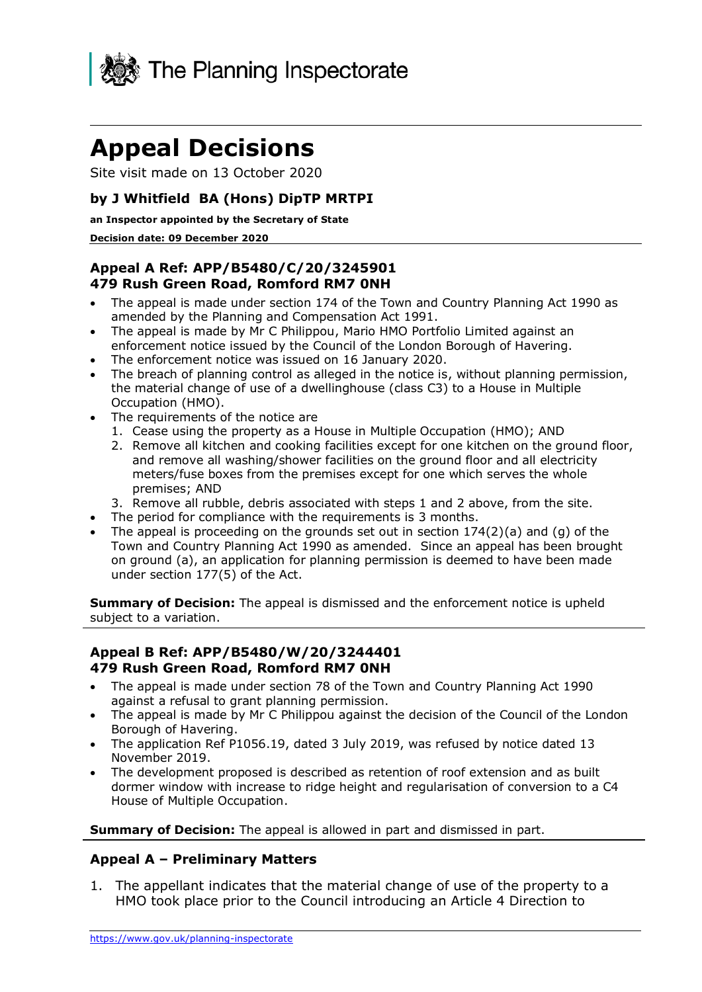

# **Appeal Decisions**

Site visit made on 13 October 2020

#### **by J Whitfield BA (Hons) DipTP MRTPI**

#### **an Inspector appointed by the Secretary of State**

#### **Decision date: 09 December 2020**

#### **Appeal A Ref: APP/B5480/C/20/3245901 479 Rush Green Road, Romford RM7 0NH**

- • The appeal is made under section 174 of the Town and Country Planning Act 1990 as amended by the Planning and Compensation Act 1991.
- • The appeal is made by Mr C Philippou, Mario HMO Portfolio Limited against an enforcement notice issued by the Council of the London Borough of Havering.
- The enforcement notice was issued on 16 January 2020.
- • The breach of planning control as alleged in the notice is, without planning permission, the material change of use of a dwellinghouse (class C3) to a House in Multiple Occupation (HMO).
- • The requirements of the notice are
	- 1. Cease using the property as a House in Multiple Occupation (HMO); AND
	- 2. Remove all kitchen and cooking facilities except for one kitchen on the ground floor, and remove all washing/shower facilities on the ground floor and all electricity meters/fuse boxes from the premises except for one which serves the whole premises; AND
	- 3. Remove all rubble, debris associated with steps 1 and 2 above, from the site.
- The period for compliance with the requirements is 3 months.
- The appeal is proceeding on the grounds set out in section  $174(2)(a)$  and (g) of the Town and Country Planning Act 1990 as amended. Since an appeal has been brought on ground (a), an application for planning permission is deemed to have been made under section 177(5) of the Act.

**Summary of Decision:** The appeal is dismissed and the enforcement notice is upheld subject to a variation.

#### **Appeal B Ref: APP/B5480/W/20/3244401 479 Rush Green Road, Romford RM7 0NH**

- • The appeal is made under section 78 of the Town and Country Planning Act 1990 against a refusal to grant planning permission.
- • The appeal is made by Mr C Philippou against the decision of the Council of the London Borough of Havering.
- • The application Ref [P1056.19](https://P1056.19), dated 3 July 2019, was refused by notice dated 13 November 2019.
- • The development proposed is described as retention of roof extension and as built dormer window with increase to ridge height and regularisation of conversion to a C4 House of Multiple Occupation.

 **Summary of Decision:** The appeal is allowed in part and dismissed in part.

#### **Appeal A – Preliminary Matters**

 1. The appellant indicates that the material change of use of the property to a HMO took place prior to the Council introducing an Article 4 Direction to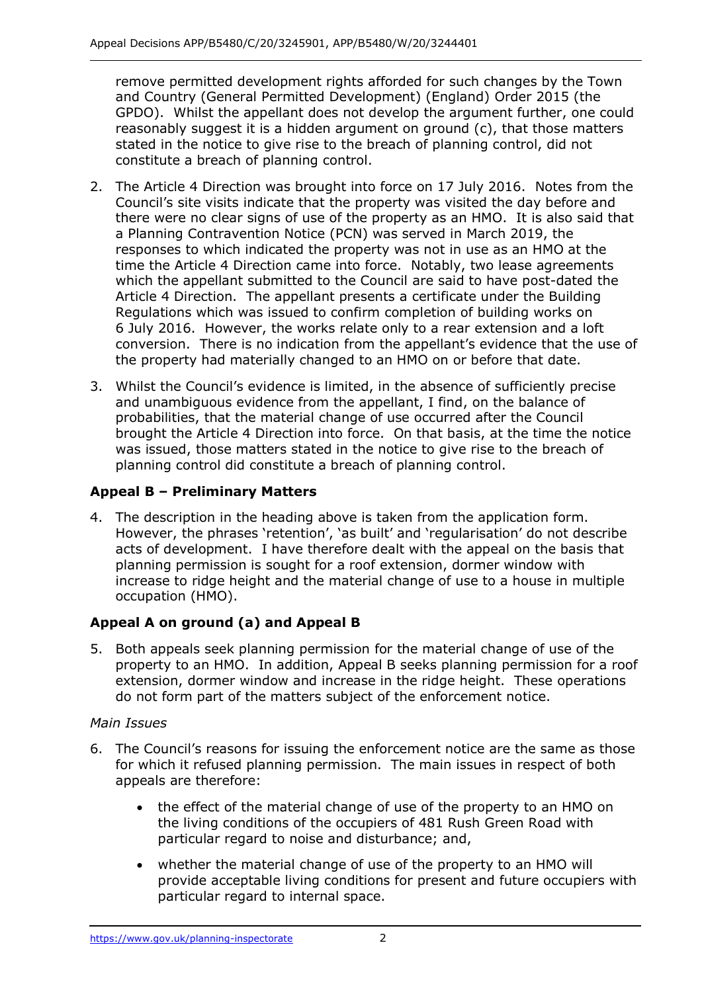remove permitted development rights afforded for such changes by the Town and Country (General Permitted Development) (England) Order 2015 (the GPDO). Whilst the appellant does not develop the argument further, one could reasonably suggest it is a hidden argument on ground (c), that those matters stated in the notice to give rise to the breach of planning control, did not constitute a breach of planning control.

- 2. The Article 4 Direction was brought into force on 17 July 2016. Notes from the Council's site visits indicate that the property was visited the day before and there were no clear signs of use of the property as an HMO. It is also said that a Planning Contravention Notice (PCN) was served in March 2019, the responses to which indicated the property was not in use as an HMO at the time the Article 4 Direction came into force. Notably, two lease agreements which the appellant submitted to the Council are said to have post-dated the Article 4 Direction. The appellant presents a certificate under the Building 6 July 2016. However, the works relate only to a rear extension and a loft conversion. There is no indication from the appellant's evidence that the use of the property had materially changed to an HMO on or before that date. Regulations which was issued to confirm completion of building works on
- 3. Whilst the Council's evidence is limited, in the absence of sufficiently precise and unambiguous evidence from the appellant, I find, on the balance of probabilities, that the material change of use occurred after the Council brought the Article 4 Direction into force. On that basis, at the time the notice was issued, those matters stated in the notice to give rise to the breach of planning control did constitute a breach of planning control.

# **Appeal B – Preliminary Matters**

 4. The description in the heading above is taken from the application form. However, the phrases 'retention', 'as built' and 'regularisation' do not describe acts of development. I have therefore dealt with the appeal on the basis that planning permission is sought for a roof extension, dormer window with increase to ridge height and the material change of use to a house in multiple occupation (HMO).

# **Appeal A on ground (a) and Appeal B**

 5. Both appeals seek planning permission for the material change of use of the property to an HMO. In addition, Appeal B seeks planning permission for a roof extension, dormer window and increase in the ridge height. These operations do not form part of the matters subject of the enforcement notice.

### *Main Issues*

- 6. The Council's reasons for issuing the enforcement notice are the same as those for which it refused planning permission. The main issues in respect of both appeals are therefore:
	- • the effect of the material change of use of the property to an HMO on the living conditions of the occupiers of 481 Rush Green Road with particular regard to noise and disturbance; and,
	- • whether the material change of use of the property to an HMO will provide acceptable living conditions for present and future occupiers with particular regard to internal space.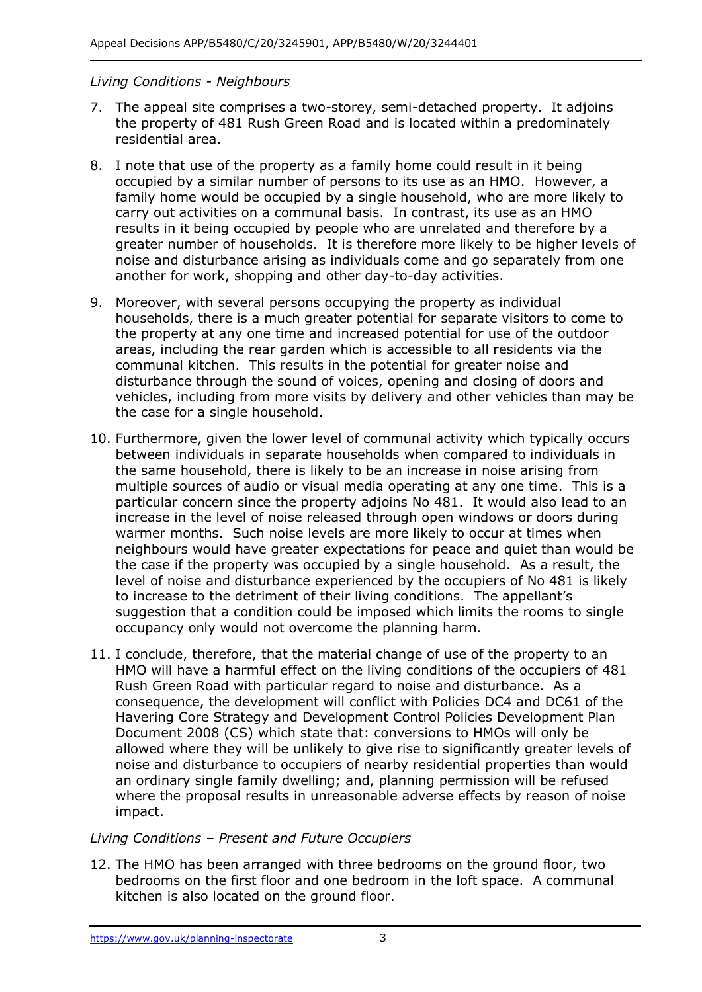#### *Living Conditions - Neighbours*

- 7. The appeal site comprises a two-storey, semi-detached property. It adjoins the property of 481 Rush Green Road and is located within a predominately residential area.
- 8. I note that use of the property as a family home could result in it being occupied by a similar number of persons to its use as an HMO. However, a family home would be occupied by a single household, who are more likely to carry out activities on a communal basis. In contrast, its use as an HMO results in it being occupied by people who are unrelated and therefore by a greater number of households. It is therefore more likely to be higher levels of noise and disturbance arising as individuals come and go separately from one another for work, shopping and other day-to-day activities.
- 9. Moreover, with several persons occupying the property as individual households, there is a much greater potential for separate visitors to come to the property at any one time and increased potential for use of the outdoor areas, including the rear garden which is accessible to all residents via the communal kitchen. This results in the potential for greater noise and disturbance through the sound of voices, opening and closing of doors and vehicles, including from more visits by delivery and other vehicles than may be the case for a single household.
- 10. Furthermore, given the lower level of communal activity which typically occurs the same household, there is likely to be an increase in noise arising from multiple sources of audio or visual media operating at any one time. This is a particular concern since the property adjoins No 481. It would also lead to an increase in the level of noise released through open windows or doors during warmer months. Such noise levels are more likely to occur at times when neighbours would have greater expectations for peace and quiet than would be the case if the property was occupied by a single household. As a result, the level of noise and disturbance experienced by the occupiers of No 481 is likely to increase to the detriment of their living conditions. The appellant's suggestion that a condition could be imposed which limits the rooms to single occupancy only would not overcome the planning harm. between individuals in separate households when compared to individuals in
- 11. I conclude, therefore, that the material change of use of the property to an HMO will have a harmful effect on the living conditions of the occupiers of 481 Rush Green Road with particular regard to noise and disturbance. As a consequence, the development will conflict with Policies DC4 and DC61 of the Havering Core Strategy and Development Control Policies Development Plan Document 2008 (CS) which state that: conversions to HMOs will only be allowed where they will be unlikely to give rise to significantly greater levels of noise and disturbance to occupiers of nearby residential properties than would an ordinary single family dwelling; and, planning permission will be refused where the proposal results in unreasonable adverse effects by reason of noise impact.

### *Living Conditions – Present and Future Occupiers*

 12. The HMO has been arranged with three bedrooms on the ground floor, two bedrooms on the first floor and one bedroom in the loft space. A communal kitchen is also located on the ground floor.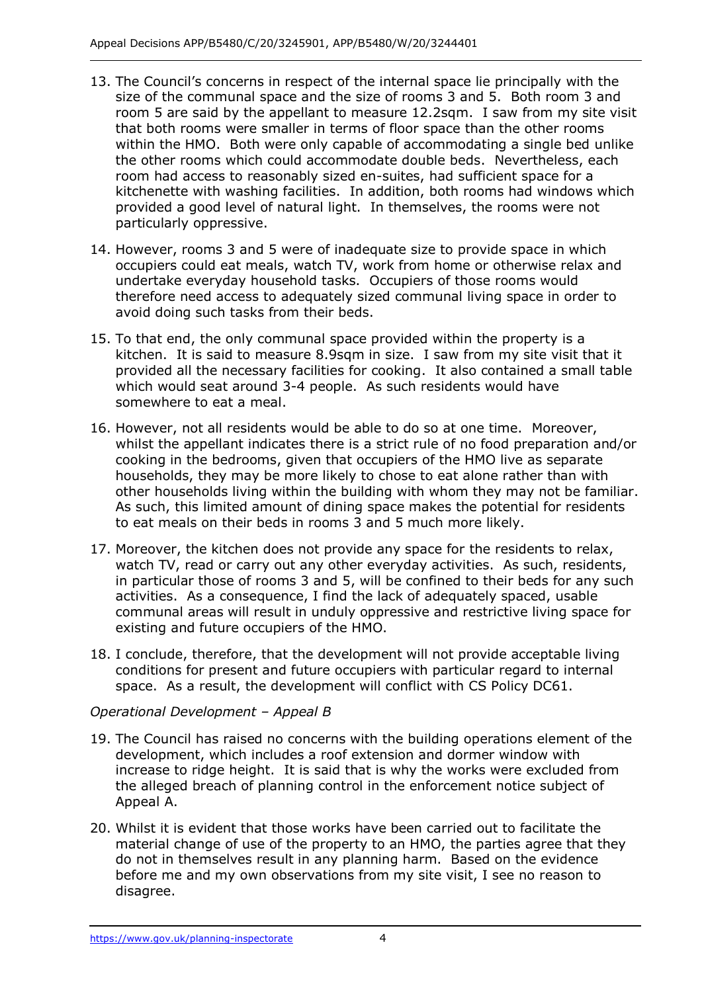- 13. The Council's concerns in respect of the internal space lie principally with the size of the communal space and the size of rooms 3 and 5. Both room 3 and room 5 are said by the appellant to measure 12.2sqm. I saw from my site visit that both rooms were smaller in terms of floor space than the other rooms within the HMO. Both were only capable of accommodating a single bed unlike the other rooms which could accommodate double beds. Nevertheless, each room had access to reasonably sized en-suites, had sufficient space for a kitchenette with washing facilities. In addition, both rooms had windows which provided a good level of natural light. In themselves, the rooms were not particularly oppressive.
- 14. However, rooms 3 and 5 were of inadequate size to provide space in which occupiers could eat meals, watch TV, work from home or otherwise relax and undertake everyday household tasks. Occupiers of those rooms would therefore need access to adequately sized communal living space in order to avoid doing such tasks from their beds.
- 15. To that end, the only communal space provided within the property is a kitchen. It is said to measure 8.9sqm in size. I saw from my site visit that it provided all the necessary facilities for cooking. It also contained a small table which would seat around 3-4 people. As such residents would have somewhere to eat a meal.
- 16. However, not all residents would be able to do so at one time. Moreover, whilst the appellant indicates there is a strict rule of no food preparation and/or cooking in the bedrooms, given that occupiers of the HMO live as separate households, they may be more likely to chose to eat alone rather than with other households living within the building with whom they may not be familiar. As such, this limited amount of dining space makes the potential for residents to eat meals on their beds in rooms 3 and 5 much more likely.
- 17. Moreover, the kitchen does not provide any space for the residents to relax, watch TV, read or carry out any other everyday activities. As such, residents, in particular those of rooms 3 and 5, will be confined to their beds for any such activities. As a consequence, I find the lack of adequately spaced, usable communal areas will result in unduly oppressive and restrictive living space for existing and future occupiers of the HMO.
- 18. I conclude, therefore, that the development will not provide acceptable living conditions for present and future occupiers with particular regard to internal space. As a result, the development will conflict with CS Policy DC61.

### *Operational Development – Appeal B*

- 19. The Council has raised no concerns with the building operations element of the development, which includes a roof extension and dormer window with increase to ridge height. It is said that is why the works were excluded from the alleged breach of planning control in the enforcement notice subject of Appeal A.
- 20. Whilst it is evident that those works have been carried out to facilitate the material change of use of the property to an HMO, the parties agree that they do not in themselves result in any planning harm. Based on the evidence before me and my own observations from my site visit, I see no reason to disagree.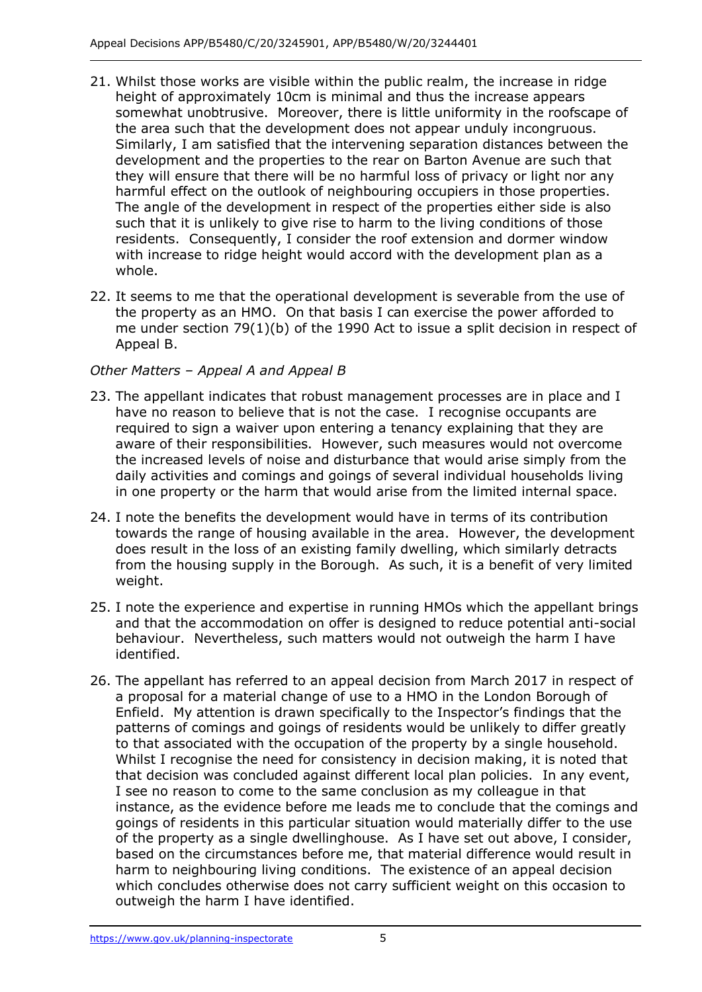- 21. Whilst those works are visible within the public realm, the increase in ridge height of approximately 10cm is minimal and thus the increase appears somewhat unobtrusive. Moreover, there is little uniformity in the roofscape of the area such that the development does not appear unduly incongruous. Similarly, I am satisfied that the intervening separation distances between the development and the properties to the rear on Barton Avenue are such that they will ensure that there will be no harmful loss of privacy or light nor any harmful effect on the outlook of neighbouring occupiers in those properties. The angle of the development in respect of the properties either side is also such that it is unlikely to give rise to harm to the living conditions of those residents. Consequently, I consider the roof extension and dormer window with increase to ridge height would accord with the development plan as a whole.
- 22. It seems to me that the operational development is severable from the use of the property as an HMO. On that basis I can exercise the power afforded to me under section 79(1)(b) of the 1990 Act to issue a split decision in respect of Appeal B.

## *Other Matters – Appeal A and Appeal B*

- 23. The appellant indicates that robust management processes are in place and I have no reason to believe that is not the case. I recognise occupants are required to sign a waiver upon entering a tenancy explaining that they are aware of their responsibilities. However, such measures would not overcome the increased levels of noise and disturbance that would arise simply from the daily activities and comings and goings of several individual households living in one property or the harm that would arise from the limited internal space.
- 24. I note the benefits the development would have in terms of its contribution towards the range of housing available in the area. However, the development does result in the loss of an existing family dwelling, which similarly detracts from the housing supply in the Borough. As such, it is a benefit of very limited weight.
- 25. I note the experience and expertise in running HMOs which the appellant brings and that the accommodation on offer is designed to reduce potential anti-social behaviour. Nevertheless, such matters would not outweigh the harm I have identified.
- 26. The appellant has referred to an appeal decision from March 2017 in respect of a proposal for a material change of use to a HMO in the London Borough of Enfield. My attention is drawn specifically to the Inspector's findings that the patterns of comings and goings of residents would be unlikely to differ greatly to that associated with the occupation of the property by a single household. Whilst I recognise the need for consistency in decision making, it is noted that that decision was concluded against different local plan policies. In any event, I see no reason to come to the same conclusion as my colleague in that instance, as the evidence before me leads me to conclude that the comings and goings of residents in this particular situation would materially differ to the use of the property as a single dwellinghouse. As I have set out above, I consider, based on the circumstances before me, that material difference would result in harm to neighbouring living conditions. The existence of an appeal decision which concludes otherwise does not carry sufficient weight on this occasion to outweigh the harm I have identified.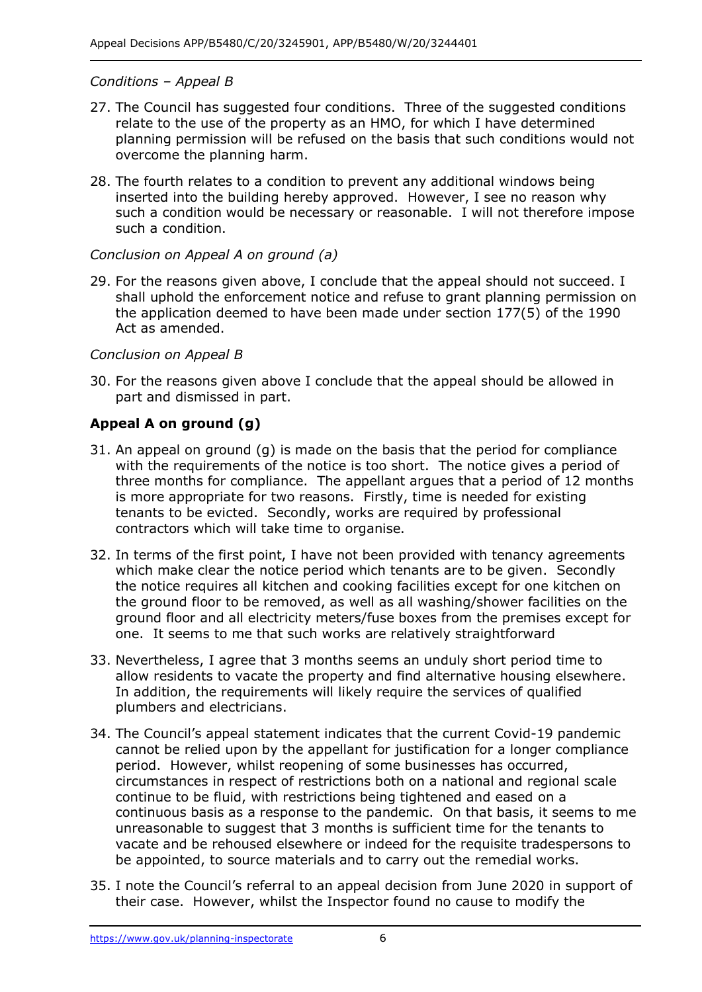#### *Conditions – Appeal B*

- 27. The Council has suggested four conditions. Three of the suggested conditions relate to the use of the property as an HMO, for which I have determined planning permission will be refused on the basis that such conditions would not overcome the planning harm.
- 28. The fourth relates to a condition to prevent any additional windows being inserted into the building hereby approved. However, I see no reason why such a condition would be necessary or reasonable. I will not therefore impose such a condition.

#### *Conclusion on Appeal A on ground (a)*

 29. For the reasons given above, I conclude that the appeal should not succeed. I shall uphold the enforcement notice and refuse to grant planning permission on the application deemed to have been made under section 177(5) of the 1990 Act as amended.

#### *Conclusion on Appeal B*

 30. For the reasons given above I conclude that the appeal should be allowed in part and dismissed in part.

# **Appeal A on ground (g)**

- 31. An appeal on ground (g) is made on the basis that the period for compliance with the requirements of the notice is too short. The notice gives a period of three months for compliance. The appellant argues that a period of 12 months is more appropriate for two reasons. Firstly, time is needed for existing tenants to be evicted. Secondly, works are required by professional contractors which will take time to organise.
- 32. In terms of the first point, I have not been provided with tenancy agreements which make clear the notice period which tenants are to be given. Secondly the notice requires all kitchen and cooking facilities except for one kitchen on the ground floor to be removed, as well as all washing/shower facilities on the ground floor and all electricity meters/fuse boxes from the premises except for one. It seems to me that such works are relatively straightforward
- 33. Nevertheless, I agree that 3 months seems an unduly short period time to allow residents to vacate the property and find alternative housing elsewhere. In addition, the requirements will likely require the services of qualified plumbers and electricians.
- 34. The Council's appeal statement indicates that the current Covid-19 pandemic cannot be relied upon by the appellant for justification for a longer compliance period. However, whilst reopening of some businesses has occurred, circumstances in respect of restrictions both on a national and regional scale continue to be fluid, with restrictions being tightened and eased on a continuous basis as a response to the pandemic. On that basis, it seems to me unreasonable to suggest that 3 months is sufficient time for the tenants to vacate and be rehoused elsewhere or indeed for the requisite tradespersons to be appointed, to source materials and to carry out the remedial works.
- 35. I note the Council's referral to an appeal decision from June 2020 in support of their case. However, whilst the Inspector found no cause to modify the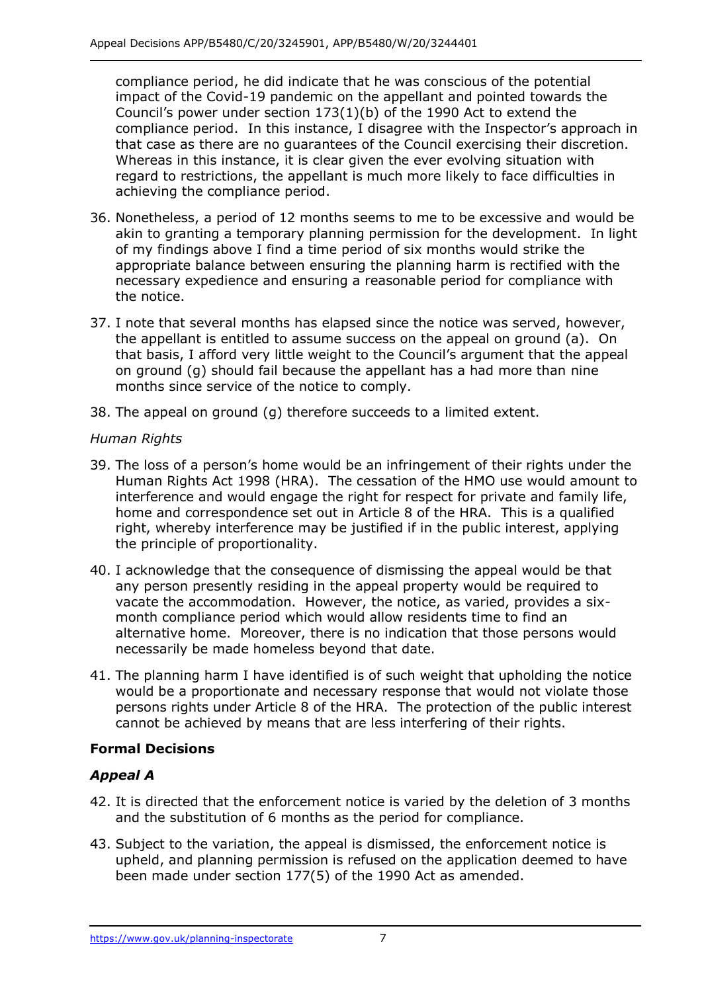compliance period, he did indicate that he was conscious of the potential impact of the Covid-19 pandemic on the appellant and pointed towards the Council's power under section 173(1)(b) of the 1990 Act to extend the compliance period. In this instance, I disagree with the Inspector's approach in that case as there are no guarantees of the Council exercising their discretion. Whereas in this instance, it is clear given the ever evolving situation with regard to restrictions, the appellant is much more likely to face difficulties in achieving the compliance period.

- 36. Nonetheless, a period of 12 months seems to me to be excessive and would be akin to granting a temporary planning permission for the development. In light of my findings above I find a time period of six months would strike the appropriate balance between ensuring the planning harm is rectified with the necessary expedience and ensuring a reasonable period for compliance with the notice.
- 37. I note that several months has elapsed since the notice was served, however, the appellant is entitled to assume success on the appeal on ground (a). On that basis, I afford very little weight to the Council's argument that the appeal on ground (g) should fail because the appellant has a had more than nine months since service of the notice to comply.
- 38. The appeal on ground (g) therefore succeeds to a limited extent.

## *Human Rights*

- 39. The loss of a person's home would be an infringement of their rights under the Human Rights Act 1998 (HRA). The cessation of the HMO use would amount to interference and would engage the right for respect for private and family life, home and correspondence set out in Article 8 of the HRA. This is a qualified right, whereby interference may be justified if in the public interest, applying the principle of proportionality.
- 40. I acknowledge that the consequence of dismissing the appeal would be that any person presently residing in the appeal property would be required to vacate the accommodation. However, the notice, as varied, provides a six- month compliance period which would allow residents time to find an alternative home. Moreover, there is no indication that those persons would necessarily be made homeless beyond that date.
- 41. The planning harm I have identified is of such weight that upholding the notice would be a proportionate and necessary response that would not violate those persons rights under Article 8 of the HRA. The protection of the public interest cannot be achieved by means that are less interfering of their rights.

# **Formal Decisions**

# *Appeal A*

- 42. It is directed that the enforcement notice is varied by the deletion of 3 months and the substitution of 6 months as the period for compliance.
- 43. Subject to the variation, the appeal is dismissed, the enforcement notice is upheld, and planning permission is refused on the application deemed to have been made under section 177(5) of the 1990 Act as amended.